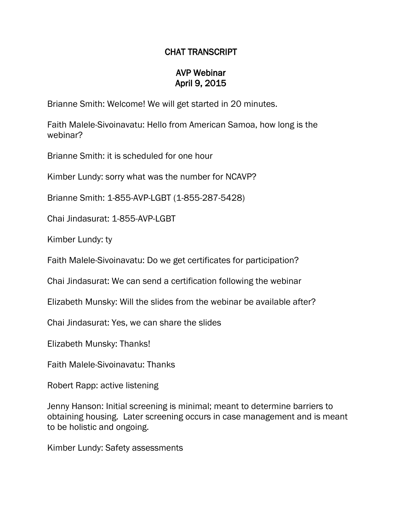## CHAT TRANSCRIPT

## AVP Webinar April 9, 2015

Brianne Smith: Welcome! We will get started in 20 minutes.

Faith Malele-Sivoinavatu: Hello from American Samoa, how long is the webinar?

Brianne Smith: it is scheduled for one hour

Kimber Lundy: sorry what was the number for NCAVP?

Brianne Smith: 1-855-AVP-LGBT (1-855-287-5428)

Chai Jindasurat: 1-855-AVP-LGBT

Kimber Lundy: ty

Faith Malele-Sivoinavatu: Do we get certificates for participation?

Chai Jindasurat: We can send a certification following the webinar

Elizabeth Munsky: Will the slides from the webinar be available after?

Chai Jindasurat: Yes, we can share the slides

Elizabeth Munsky: Thanks!

Faith Malele-Sivoinavatu: Thanks

Robert Rapp: active listening

Jenny Hanson: Initial screening is minimal; meant to determine barriers to obtaining housing. Later screening occurs in case management and is meant to be holistic and ongoing.

Kimber Lundy: Safety assessments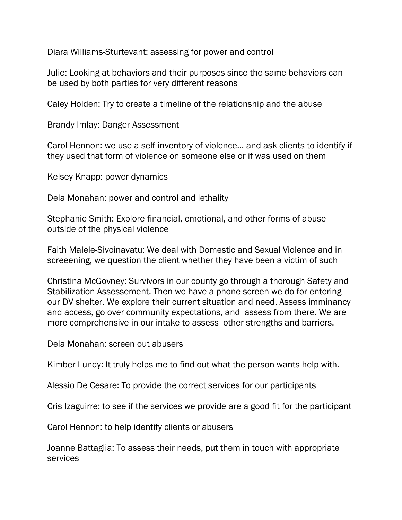Diara Williams-Sturtevant: assessing for power and control

Julie: Looking at behaviors and their purposes since the same behaviors can be used by both parties for very different reasons

Caley Holden: Try to create a timeline of the relationship and the abuse

Brandy Imlay: Danger Assessment

Carol Hennon: we use a self inventory of violence... and ask clients to identify if they used that form of violence on someone else or if was used on them

Kelsey Knapp: power dynamics

Dela Monahan: power and control and lethality

Stephanie Smith: Explore financial, emotional, and other forms of abuse outside of the physical violence

Faith Malele-Sivoinavatu: We deal with Domestic and Sexual Violence and in screeening, we question the client whether they have been a victim of such

Christina McGovney: Survivors in our county go through a thorough Safety and Stabilization Assessement. Then we have a phone screen we do for entering our DV shelter. We explore their current situation and need. Assess imminancy and access, go over community expectations, and assess from there. We are more comprehensive in our intake to assess other strengths and barriers.

Dela Monahan: screen out abusers

Kimber Lundy: It truly helps me to find out what the person wants help with.

Alessio De Cesare: To provide the correct services for our participants

Cris Izaguirre: to see if the services we provide are a good fit for the participant

Carol Hennon: to help identify clients or abusers

Joanne Battaglia: To assess their needs, put them in touch with appropriate services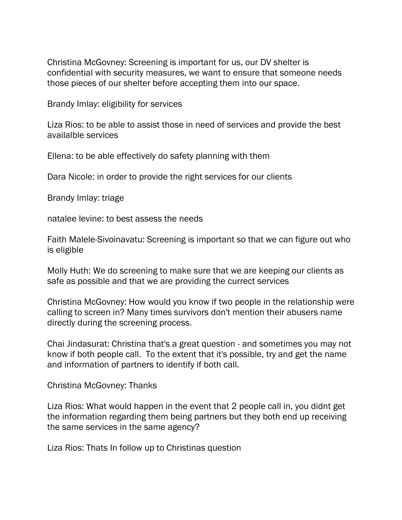Christina McGovney: Screening is important for us, our DV shelter is confidential with security measures, we want to ensure that someone needs those pieces of our shelter before accepting them into our space.

Brandy Imlay: eligibility for services

Liza Rios: to be able to assist those in need of services and provide the best availalble services

Ellena: to be able effectively do safety planning with them

Dara Nicole: in order to provide the right services for our clients

Brandy Imlay: triage

natalee levine: to best assess the needs

Faith Malele-Sivoinavatu: Screening is important so that we can figure out who is eligible

Molly Huth: We do screening to make sure that we are keeping our clients as safe as possible and that we are providing the currect services

Christina McGovney: How would you know if two people in the relationship were calling to screen in? Many times survivors don't mention their abusers name directly during the screening process.

Chai Jindasurat: Christina that's a great question - and sometimes you may not know if both people call. To the extent that it's possible, try and get the name and information of partners to identify if both call.

Christina McGovney: Thanks

Liza Rios: What would happen in the event that 2 people call in, you didnt get the information regarding them being partners but they both end up receiving the same services in the same agency?

Liza Rios: Thats In follow up to Christinas question